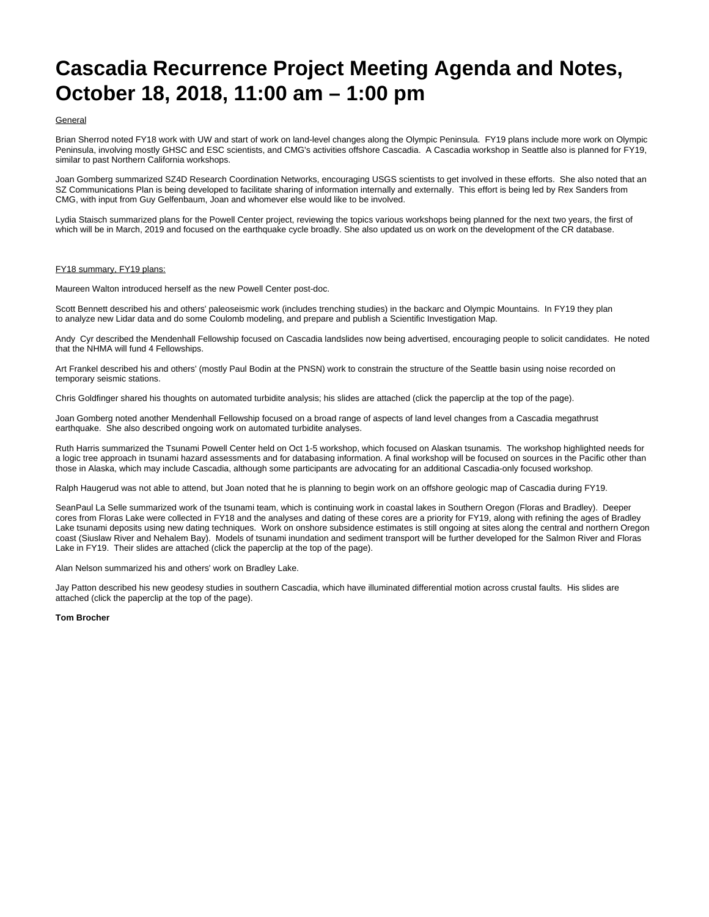## **Cascadia Recurrence Project Meeting Agenda and Notes, October 18, 2018, 11:00 am – 1:00 pm**

## General

Brian Sherrod noted FY18 work with UW and start of work on land-level changes along the Olympic Peninsula. FY19 plans include more work on Olympic Peninsula, involving mostly GHSC and ESC scientists, and CMG's activities offshore Cascadia. A Cascadia workshop in Seattle also is planned for FY19, similar to past Northern California workshops.

Joan Gomberg summarized SZ4D Research Coordination Networks, encouraging USGS scientists to get involved in these efforts. She also noted that an SZ Communications Plan is being developed to facilitate sharing of information internally and externally. This effort is being led by Rex Sanders from CMG, with input from Guy Gelfenbaum, Joan and whomever else would like to be involved.

Lydia Staisch summarized plans for the Powell Center project, reviewing the topics various workshops being planned for the next two years, the first of which will be in March, 2019 and focused on the earthquake cycle broadly. She also updated us on work on the development of the CR database.

## FY18 summary, FY19 plans:

Maureen Walton introduced herself as the new Powell Center post-doc.

Scott Bennett described his and others' paleoseismic work (includes trenching studies) in the backarc and Olympic Mountains. In FY19 they plan to analyze new Lidar data and do some Coulomb modeling, and prepare and publish a Scientific Investigation Map.

Andy Cyr described the Mendenhall Fellowship focused on Cascadia landslides now being advertised, encouraging people to solicit candidates. He noted that the NHMA will fund 4 Fellowships.

Art Frankel described his and others' (mostly Paul Bodin at the PNSN) work to constrain the structure of the Seattle basin using noise recorded on temporary seismic stations.

Chris Goldfinger shared his thoughts on automated turbidite analysis; his slides are attached (click the paperclip at the top of the page).

Joan Gomberg noted another Mendenhall Fellowship focused on a broad range of aspects of land level changes from a Cascadia megathrust earthquake. She also described ongoing work on automated turbidite analyses.

Ruth Harris summarized the Tsunami Powell Center held on Oct 1-5 workshop, which focused on Alaskan tsunamis. The workshop highlighted needs for a logic tree approach in tsunami hazard assessments and for databasing information. A final workshop will be focused on sources in the Pacific other than those in Alaska, which may include Cascadia, although some participants are advocating for an additional Cascadia-only focused workshop.

Ralph Haugerud was not able to attend, but Joan noted that he is planning to begin work on an offshore geologic map of Cascadia during FY19.

SeanPaul La Selle summarized work of the tsunami team, which is continuing work in coastal lakes in Southern Oregon (Floras and Bradley). Deeper cores from Floras Lake were collected in FY18 and the analyses and dating of these cores are a priority for FY19, along with refining the ages of Bradley Lake tsunami deposits using new dating techniques. Work on onshore subsidence estimates is still ongoing at sites along the central and northern Oregon coast (Siuslaw River and Nehalem Bay). Models of tsunami inundation and sediment transport will be further developed for the Salmon River and Floras Lake in FY19. Their slides are attached (click the paperclip at the top of the page).

Alan Nelson summarized his and others' work on Bradley Lake.

Jay Patton described his new geodesy studies in southern Cascadia, which have illuminated differential motion across crustal faults. His slides are attached (click the paperclip at the top of the page).

## **Tom Brocher**